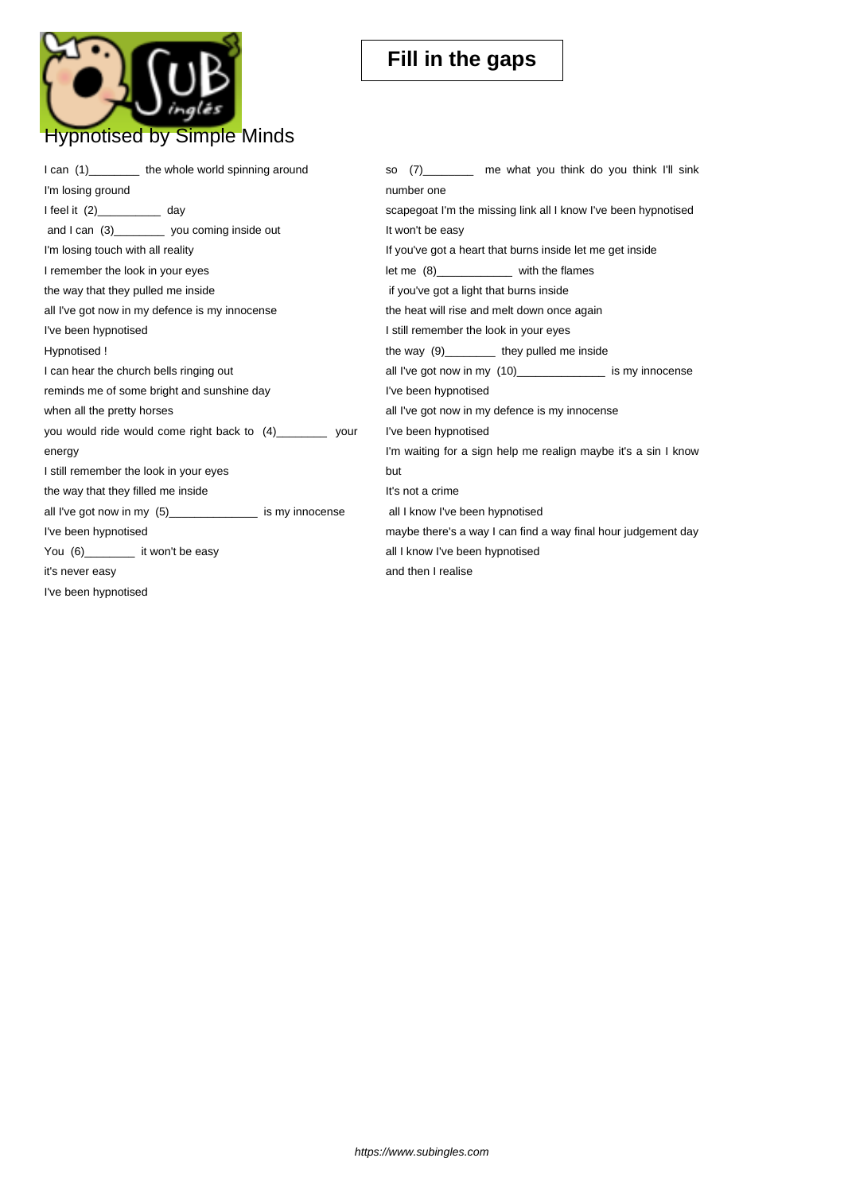

| I can (1)_________ the whole world spinning around        | (7)__________ me what you think do you think I'll sink<br>SO.  |
|-----------------------------------------------------------|----------------------------------------------------------------|
| I'm losing ground                                         | number one                                                     |
| I feel it (2)___________ day                              | scapegoat I'm the missing link all I know I've been hypnotised |
| and I can (3) __________ you coming inside out            | It won't be easy                                               |
| I'm losing touch with all reality                         | If you've got a heart that burns inside let me get inside      |
| I remember the look in your eyes                          | let me (8)______________ with the flames                       |
| the way that they pulled me inside                        | if you've got a light that burns inside                        |
| all I've got now in my defence is my innocense            | the heat will rise and melt down once again                    |
| I've been hypnotised                                      | I still remember the look in your eyes                         |
| Hypnotised !                                              | the way (9)________ they pulled me inside                      |
| I can hear the church bells ringing out                   | all I've got now in my (10)_______________ is my innocense     |
| reminds me of some bright and sunshine day                | I've been hypnotised                                           |
| when all the pretty horses                                | all I've got now in my defence is my innocense                 |
| you would ride would come right back to (4)_________ your | I've been hypnotised                                           |
| energy                                                    | I'm waiting for a sign help me realign maybe it's a sin I know |
| I still remember the look in your eyes                    | but                                                            |
| the way that they filled me inside                        | It's not a crime                                               |
| all I've got now in my (5) ______________ is my innocense | all I know I've been hypnotised                                |
| I've been hypnotised                                      | maybe there's a way I can find a way final hour judgement day  |
| You (6)________ it won't be easy                          | all I know I've been hypnotised                                |
| it's never easy                                           | and then I realise                                             |
| I've been hypnotised                                      |                                                                |